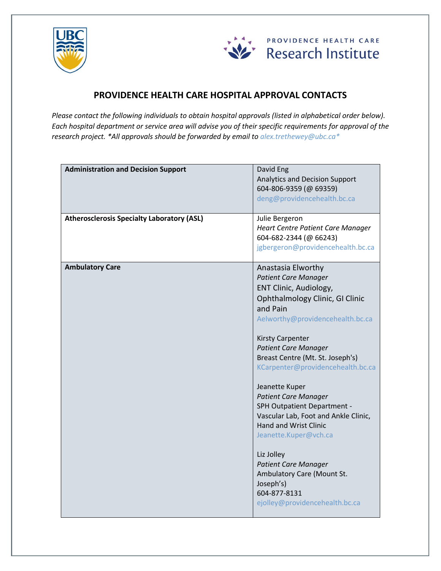



## **PROVIDENCE HEALTH CARE HOSPITAL APPROVAL CONTACTS**

*Please contact the following individuals to obtain hospital approvals (listed in alphabetical order below). Each hospital department or service area will advise you of their specific requirements for approval of the research project. \*All approvals should be forwarded by email to [alex.trethewey@ubc.ca\\*](mailto:alex.trethewey@ubc.ca*)*

| <b>Administration and Decision Support</b>        | David Eng<br><b>Analytics and Decision Support</b><br>604-806-9359 (@ 69359)<br>deng@providencehealth.bc.ca                                                                                                                                                                                                                                                                                                                                                                                                                                                                                                    |
|---------------------------------------------------|----------------------------------------------------------------------------------------------------------------------------------------------------------------------------------------------------------------------------------------------------------------------------------------------------------------------------------------------------------------------------------------------------------------------------------------------------------------------------------------------------------------------------------------------------------------------------------------------------------------|
| <b>Atherosclerosis Specialty Laboratory (ASL)</b> | Julie Bergeron<br>Heart Centre Patient Care Manager<br>604-682-2344 (@ 66243)<br>jgbergeron@providencehealth.bc.ca                                                                                                                                                                                                                                                                                                                                                                                                                                                                                             |
| <b>Ambulatory Care</b>                            | Anastasia Elworthy<br><b>Patient Care Manager</b><br>ENT Clinic, Audiology,<br>Ophthalmology Clinic, GI Clinic<br>and Pain<br>Aelworthy@providencehealth.bc.ca<br>Kirsty Carpenter<br><b>Patient Care Manager</b><br>Breast Centre (Mt. St. Joseph's)<br>KCarpenter@providencehealth.bc.ca<br>Jeanette Kuper<br><b>Patient Care Manager</b><br>SPH Outpatient Department -<br>Vascular Lab, Foot and Ankle Clinic,<br>Hand and Wrist Clinic<br>Jeanette.Kuper@vch.ca<br>Liz Jolley<br><b>Patient Care Manager</b><br>Ambulatory Care (Mount St.<br>Joseph's)<br>604-877-8131<br>ejolley@providencehealth.bc.ca |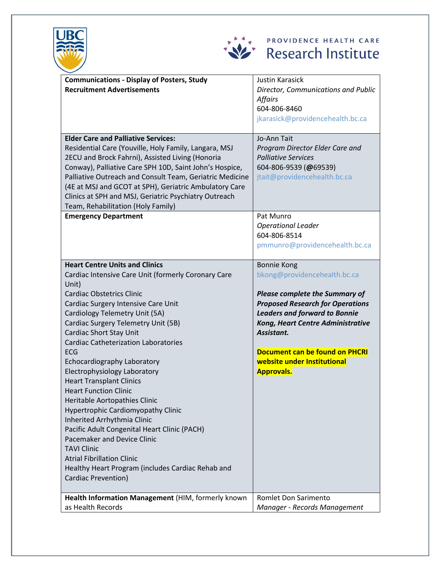



| <b>Communications - Display of Posters, Study</b>                     | <b>Justin Karasick</b>                                                           |
|-----------------------------------------------------------------------|----------------------------------------------------------------------------------|
| <b>Recruitment Advertisements</b>                                     | Director, Communications and Public                                              |
|                                                                       | <b>Affairs</b>                                                                   |
|                                                                       | 604-806-8460                                                                     |
|                                                                       | jkarasick@providencehealth.bc.ca                                                 |
|                                                                       |                                                                                  |
| <b>Elder Care and Palliative Services:</b>                            | Jo-Ann Tait                                                                      |
| Residential Care (Youville, Holy Family, Langara, MSJ                 | Program Director Elder Care and                                                  |
| 2ECU and Brock Fahrni), Assisted Living (Honoria                      | <b>Palliative Services</b>                                                       |
| Conway), Palliative Care SPH 10D, Saint John's Hospice,               | 604-806-9539 (@69539)                                                            |
| Palliative Outreach and Consult Team, Geriatric Medicine              | jtait@providencehealth.bc.ca                                                     |
| (4E at MSJ and GCOT at SPH), Geriatric Ambulatory Care                |                                                                                  |
| Clinics at SPH and MSJ, Geriatric Psychiatry Outreach                 |                                                                                  |
| Team, Rehabilitation (Holy Family)                                    |                                                                                  |
| <b>Emergency Department</b>                                           | Pat Munro                                                                        |
|                                                                       | <b>Operational Leader</b>                                                        |
|                                                                       | 604-806-8514                                                                     |
|                                                                       | pmmunro@providencehealth.bc.ca                                                   |
|                                                                       |                                                                                  |
| <b>Heart Centre Units and Clinics</b>                                 | <b>Bonnie Kong</b>                                                               |
| Cardiac Intensive Care Unit (formerly Coronary Care                   | bkong@providencehealth.bc.ca                                                     |
| Unit)<br><b>Cardiac Obstetrics Clinic</b>                             |                                                                                  |
|                                                                       | <b>Please complete the Summary of</b><br><b>Proposed Research for Operations</b> |
| Cardiac Surgery Intensive Care Unit<br>Cardiology Telemetry Unit (5A) | <b>Leaders and forward to Bonnie</b>                                             |
| Cardiac Surgery Telemetry Unit (5B)                                   | Kong, Heart Centre Administrative                                                |
| <b>Cardiac Short Stay Unit</b>                                        | Assistant.                                                                       |
| <b>Cardiac Catheterization Laboratories</b>                           |                                                                                  |
| <b>ECG</b>                                                            | Document can be found on PHCRI                                                   |
| Echocardiography Laboratory                                           | website under Institutional                                                      |
| Electrophysiology Laboratory                                          | <b>Approvals.</b>                                                                |
| <b>Heart Transplant Clinics</b>                                       |                                                                                  |
| <b>Heart Function Clinic</b>                                          |                                                                                  |
| Heritable Aortopathies Clinic                                         |                                                                                  |
| Hypertrophic Cardiomyopathy Clinic                                    |                                                                                  |
| Inherited Arrhythmia Clinic                                           |                                                                                  |
| Pacific Adult Congenital Heart Clinic (PACH)                          |                                                                                  |
| Pacemaker and Device Clinic                                           |                                                                                  |
| <b>TAVI Clinic</b>                                                    |                                                                                  |
| <b>Atrial Fibrillation Clinic</b>                                     |                                                                                  |
| Healthy Heart Program (includes Cardiac Rehab and                     |                                                                                  |
| <b>Cardiac Prevention)</b>                                            |                                                                                  |
|                                                                       |                                                                                  |
| Health Information Management (HIM, formerly known                    | Romlet Don Sarimento                                                             |
| as Health Records                                                     | Manager - Records Management                                                     |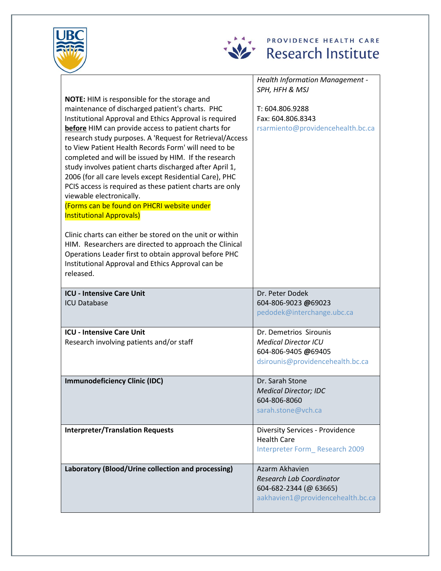



|                                                                                                                                                                                                                                                                                                                                                                                                                                                                                                                                                                                                                                                                                             | <b>Health Information Management -</b>                                    |
|---------------------------------------------------------------------------------------------------------------------------------------------------------------------------------------------------------------------------------------------------------------------------------------------------------------------------------------------------------------------------------------------------------------------------------------------------------------------------------------------------------------------------------------------------------------------------------------------------------------------------------------------------------------------------------------------|---------------------------------------------------------------------------|
|                                                                                                                                                                                                                                                                                                                                                                                                                                                                                                                                                                                                                                                                                             | SPH, HFH & MSJ                                                            |
| NOTE: HIM is responsible for the storage and<br>maintenance of discharged patient's charts. PHC<br>Institutional Approval and Ethics Approval is required<br>before HIM can provide access to patient charts for<br>research study purposes. A 'Request for Retrieval/Access<br>to View Patient Health Records Form' will need to be<br>completed and will be issued by HIM. If the research<br>study involves patient charts discharged after April 1,<br>2006 (for all care levels except Residential Care), PHC<br>PCIS access is required as these patient charts are only<br>viewable electronically.<br>(Forms can be found on PHCRI website under<br><b>Institutional Approvals)</b> | T: 604.806.9288<br>Fax: 604.806.8343<br>rsarmiento@providencehealth.bc.ca |
| Clinic charts can either be stored on the unit or within<br>HIM. Researchers are directed to approach the Clinical<br>Operations Leader first to obtain approval before PHC<br>Institutional Approval and Ethics Approval can be<br>released.                                                                                                                                                                                                                                                                                                                                                                                                                                               |                                                                           |
| <b>ICU - Intensive Care Unit</b>                                                                                                                                                                                                                                                                                                                                                                                                                                                                                                                                                                                                                                                            | Dr. Peter Dodek                                                           |
| <b>ICU Database</b>                                                                                                                                                                                                                                                                                                                                                                                                                                                                                                                                                                                                                                                                         | 604-806-9023 @69023<br>pedodek@interchange.ubc.ca                         |
| <b>ICU - Intensive Care Unit</b>                                                                                                                                                                                                                                                                                                                                                                                                                                                                                                                                                                                                                                                            | Dr. Demetrios Sirounis                                                    |
| Research involving patients and/or staff                                                                                                                                                                                                                                                                                                                                                                                                                                                                                                                                                                                                                                                    | <b>Medical Director ICU</b>                                               |
|                                                                                                                                                                                                                                                                                                                                                                                                                                                                                                                                                                                                                                                                                             | 604-806-9405 @69405                                                       |
|                                                                                                                                                                                                                                                                                                                                                                                                                                                                                                                                                                                                                                                                                             | dsirounis@providencehealth.bc.ca                                          |
| <b>Immunodeficiency Clinic (IDC)</b>                                                                                                                                                                                                                                                                                                                                                                                                                                                                                                                                                                                                                                                        | Dr. Sarah Stone                                                           |
|                                                                                                                                                                                                                                                                                                                                                                                                                                                                                                                                                                                                                                                                                             | <b>Medical Director; IDC</b>                                              |
|                                                                                                                                                                                                                                                                                                                                                                                                                                                                                                                                                                                                                                                                                             | 604-806-8060                                                              |
|                                                                                                                                                                                                                                                                                                                                                                                                                                                                                                                                                                                                                                                                                             | sarah.stone@vch.ca                                                        |
| <b>Interpreter/Translation Requests</b>                                                                                                                                                                                                                                                                                                                                                                                                                                                                                                                                                                                                                                                     | <b>Diversity Services - Providence</b>                                    |
|                                                                                                                                                                                                                                                                                                                                                                                                                                                                                                                                                                                                                                                                                             | <b>Health Care</b>                                                        |
|                                                                                                                                                                                                                                                                                                                                                                                                                                                                                                                                                                                                                                                                                             | Interpreter Form Research 2009                                            |
| Laboratory (Blood/Urine collection and processing)                                                                                                                                                                                                                                                                                                                                                                                                                                                                                                                                                                                                                                          | Azarm Akhavien                                                            |
|                                                                                                                                                                                                                                                                                                                                                                                                                                                                                                                                                                                                                                                                                             | <b>Research Lab Coordinator</b>                                           |
|                                                                                                                                                                                                                                                                                                                                                                                                                                                                                                                                                                                                                                                                                             | 604-682-2344 (@ 63665)                                                    |
|                                                                                                                                                                                                                                                                                                                                                                                                                                                                                                                                                                                                                                                                                             | aakhavien1@providencehealth.bc.ca                                         |
|                                                                                                                                                                                                                                                                                                                                                                                                                                                                                                                                                                                                                                                                                             |                                                                           |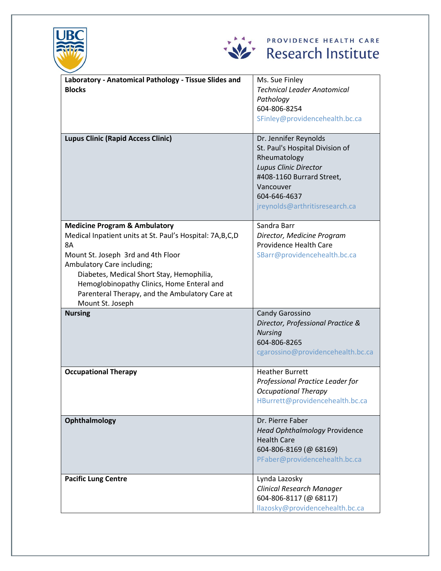



| Laboratory - Anatomical Pathology - Tissue Slides and<br><b>Blocks</b><br><b>Lupus Clinic (Rapid Access Clinic)</b>                                                                                                                                                                                                                             | Ms. Sue Finley<br><b>Technical Leader Anatomical</b><br>Pathology<br>604-806-8254<br>SFinley@providencehealth.bc.ca<br>Dr. Jennifer Reynolds<br>St. Paul's Hospital Division of<br>Rheumatology<br>Lupus Clinic Director |
|-------------------------------------------------------------------------------------------------------------------------------------------------------------------------------------------------------------------------------------------------------------------------------------------------------------------------------------------------|--------------------------------------------------------------------------------------------------------------------------------------------------------------------------------------------------------------------------|
|                                                                                                                                                                                                                                                                                                                                                 | #408-1160 Burrard Street,<br>Vancouver<br>604-646-4637<br>jreynolds@arthritisresearch.ca                                                                                                                                 |
| <b>Medicine Program &amp; Ambulatory</b><br>Medical Inpatient units at St. Paul's Hospital: 7A,B,C,D<br>8A<br>Mount St. Joseph 3rd and 4th Floor<br>Ambulatory Care including;<br>Diabetes, Medical Short Stay, Hemophilia,<br>Hemoglobinopathy Clinics, Home Enteral and<br>Parenteral Therapy, and the Ambulatory Care at<br>Mount St. Joseph | Sandra Barr<br>Director, Medicine Program<br>Providence Health Care<br>SBarr@providencehealth.bc.ca                                                                                                                      |
| <b>Nursing</b>                                                                                                                                                                                                                                                                                                                                  | Candy Garossino<br>Director, Professional Practice &<br><b>Nursing</b><br>604-806-8265<br>cgarossino@providencehealth.bc.ca                                                                                              |
| <b>Occupational Therapy</b>                                                                                                                                                                                                                                                                                                                     | <b>Heather Burrett</b><br>Professional Practice Leader for<br><b>Occupational Therapy</b><br>HBurrett@providencehealth.bc.ca                                                                                             |
| Ophthalmology                                                                                                                                                                                                                                                                                                                                   | Dr. Pierre Faber<br>Head Ophthalmology Providence<br><b>Health Care</b><br>604-806-8169 (@ 68169)<br>PFaber@providencehealth.bc.ca                                                                                       |
| <b>Pacific Lung Centre</b>                                                                                                                                                                                                                                                                                                                      | Lynda Lazosky<br><b>Clinical Research Manager</b><br>604-806-8117 (@ 68117)<br>llazosky@providencehealth.bc.ca                                                                                                           |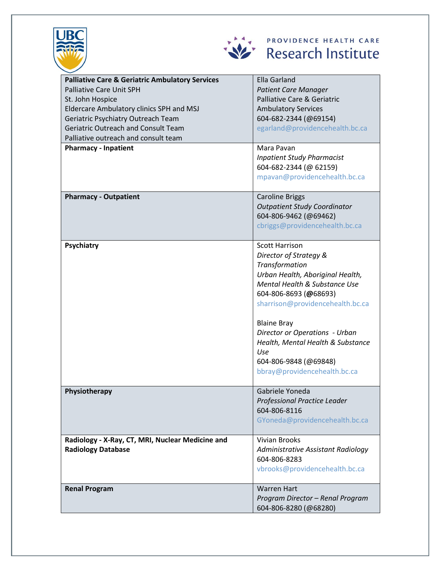



## Research Institute PROVIDENCE HEALTH CARE

| <b>Palliative Care &amp; Geriatric Ambulatory Services</b> | <b>Ella Garland</b>                 |
|------------------------------------------------------------|-------------------------------------|
| <b>Palliative Care Unit SPH</b>                            | <b>Patient Care Manager</b>         |
| St. John Hospice                                           | Palliative Care & Geriatric         |
| Eldercare Ambulatory clinics SPH and MSJ                   | <b>Ambulatory Services</b>          |
| Geriatric Psychiatry Outreach Team                         | 604-682-2344 (@69154)               |
| <b>Geriatric Outreach and Consult Team</b>                 | egarland@providencehealth.bc.ca     |
| Palliative outreach and consult team                       |                                     |
| <b>Pharmacy - Inpatient</b>                                | Mara Pavan                          |
|                                                            | <b>Inpatient Study Pharmacist</b>   |
|                                                            | 604-682-2344 (@ 62159)              |
|                                                            | mpavan@providencehealth.bc.ca       |
|                                                            |                                     |
| <b>Pharmacy - Outpatient</b>                               | <b>Caroline Briggs</b>              |
|                                                            | <b>Outpatient Study Coordinator</b> |
|                                                            | 604-806-9462 (@69462)               |
|                                                            | cbriggs@providencehealth.bc.ca      |
|                                                            |                                     |
| Psychiatry                                                 | <b>Scott Harrison</b>               |
|                                                            | Director of Strategy &              |
|                                                            | Transformation                      |
|                                                            | Urban Health, Aboriginal Health,    |
|                                                            | Mental Health & Substance Use       |
|                                                            | 604-806-8693 (@68693)               |
|                                                            | sharrison@providencehealth.bc.ca    |
|                                                            |                                     |
|                                                            | <b>Blaine Bray</b>                  |
|                                                            | Director or Operations - Urban      |
|                                                            | Health, Mental Health & Substance   |
|                                                            | Use                                 |
|                                                            | 604-806-9848 (@69848)               |
|                                                            | bbray@providencehealth.bc.ca        |
|                                                            |                                     |
| Physiotherapy                                              | Gabriele Yoneda                     |
|                                                            | Professional Practice Leader        |
|                                                            | 604-806-8116                        |
|                                                            | GYoneda@providencehealth.bc.ca      |
|                                                            |                                     |
| Radiology - X-Ray, CT, MRI, Nuclear Medicine and           | <b>Vivian Brooks</b>                |
| <b>Radiology Database</b>                                  | Administrative Assistant Radiology  |
|                                                            | 604-806-8283                        |
|                                                            | vbrooks@providencehealth.bc.ca      |
|                                                            |                                     |
| <b>Renal Program</b>                                       | <b>Warren Hart</b>                  |
|                                                            | Program Director - Renal Program    |
|                                                            | 604-806-8280 (@68280)               |